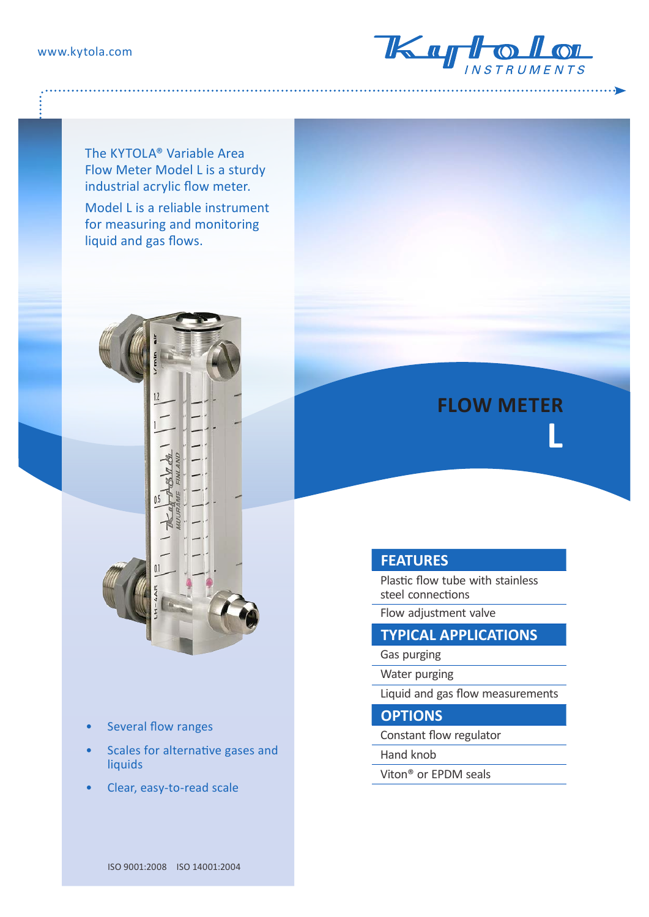

The KYTOLA® Variable Area Flow Meter Model L is a sturdy industrial acrylic flow meter.

Model L is a reliable instrument for measuring and monitoring liquid and gas flows.



- Several flow ranges
- Scales for alternative gases and liquids
- Clear, easy-to-read scale



Plastic flow tube with stainless steel connections

**FLOW METER** 

**L**

Flow adjustment valvе

## **TYPICAL APPLICATIONS**

Gas purging

Water purging

Liquid and gas flow measurements

**OPTIONS**

Constant flow regulator

Hand knob

Viton® or EPDM seals